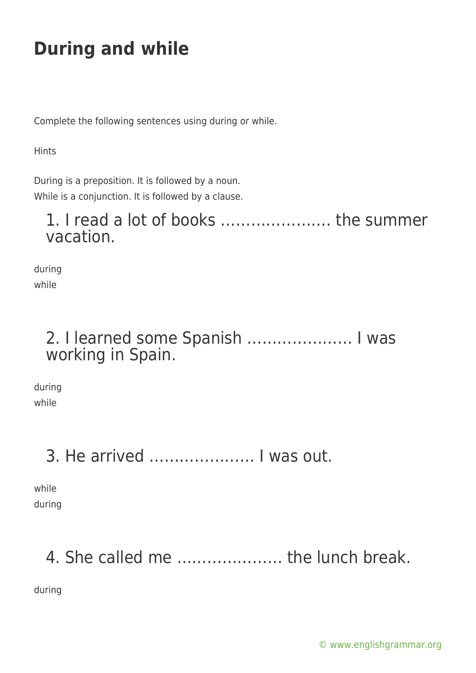Complete the following sentences using during or while.

**Hints** 

During is a preposition. It is followed by a noun. While is a conjunction. It is followed by a clause.

#### 1. I read a lot of books …………………. the summer vacation.

during while

#### 2. I learned some Spanish ………………… I was working in Spain.

during while

### 3. He arrived ………………… I was out.

while during

# 4. She called me ………………… the lunch break.

during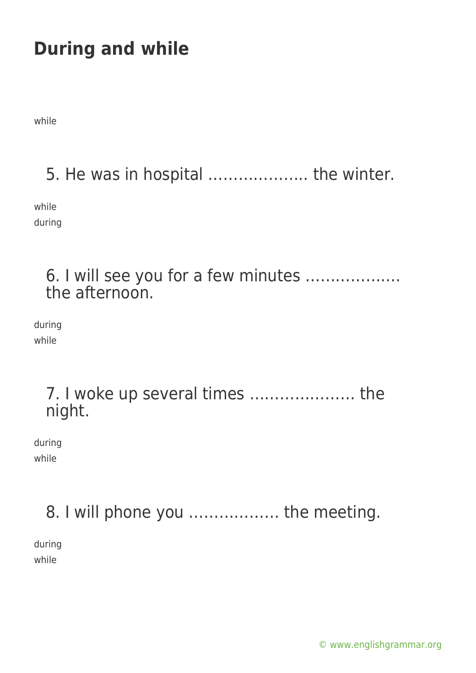while

5. He was in hospital ……………….. the winter.

while during

#### 6. I will see you for a few minutes ………………. the afternoon.

during while

#### 7. I woke up several times ………………… the night.

during while

## 8. I will phone you ……………… the meeting.

during while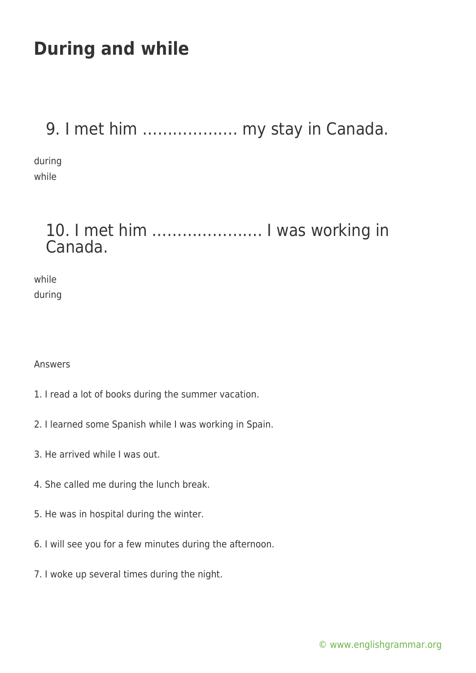### 9. I met him ………………. my stay in Canada.

during while

#### 10. I met him …………………. I was working in Canada.

while during

Answers

- 1. I read a lot of books during the summer vacation.
- 2. I learned some Spanish while I was working in Spain.
- 3. He arrived while I was out.
- 4. She called me during the lunch break.
- 5. He was in hospital during the winter.
- 6. I will see you for a few minutes during the afternoon.
- 7. I woke up several times during the night.